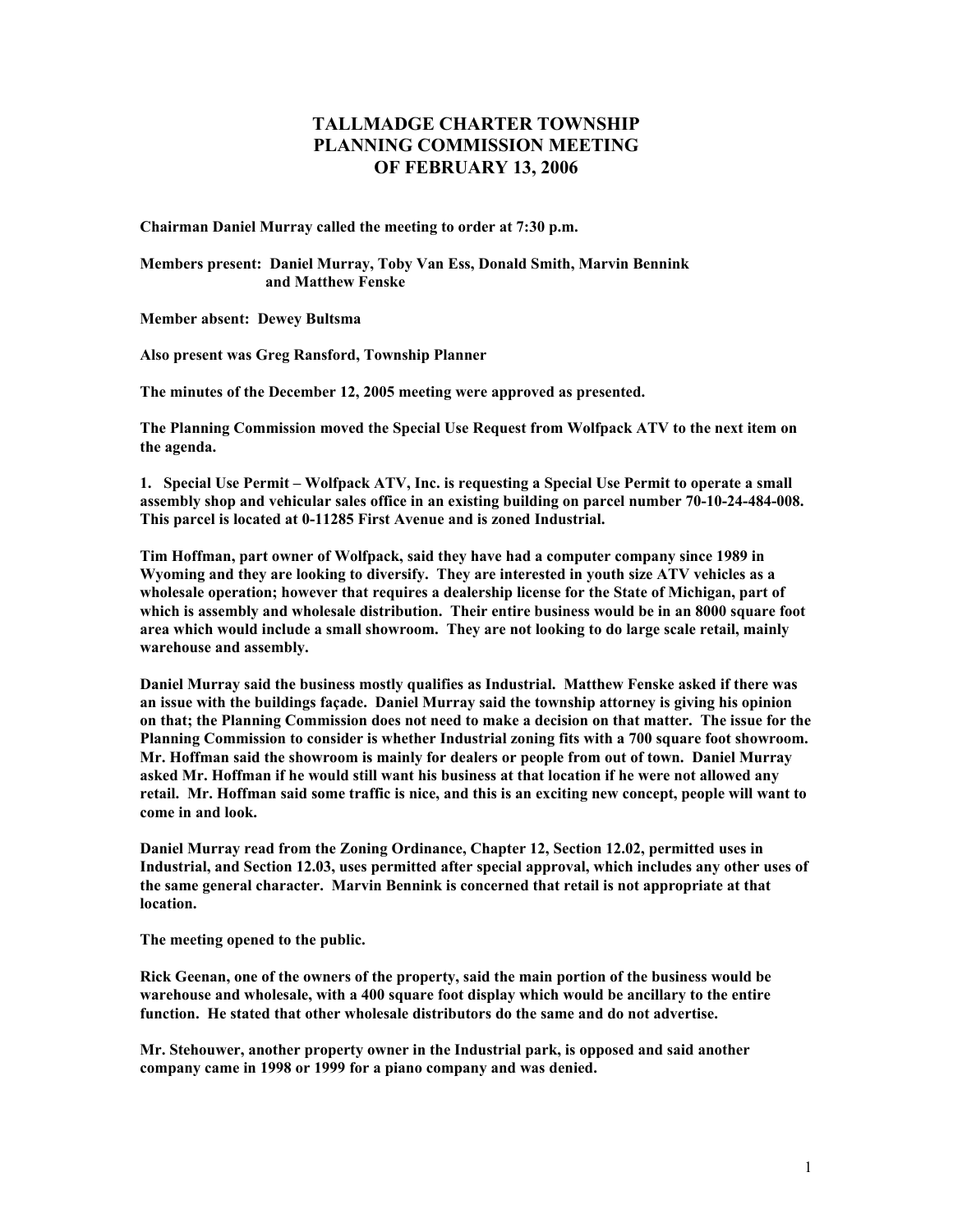## **TALLMADGE CHARTER TOWNSHIP PLANNING COMMISSION MEETING OF FEBRUARY 13, 2006**

**Chairman Daniel Murray called the meeting to order at 7:30 p.m.** 

**Members present: Daniel Murray, Toby Van Ess, Donald Smith, Marvin Bennink and Matthew Fenske** 

**Member absent: Dewey Bultsma** 

**Also present was Greg Ransford, Township Planner** 

**The minutes of the December 12, 2005 meeting were approved as presented.** 

**The Planning Commission moved the Special Use Request from Wolfpack ATV to the next item on the agenda.** 

**1. Special Use Permit – Wolfpack ATV, Inc. is requesting a Special Use Permit to operate a small assembly shop and vehicular sales office in an existing building on parcel number 70-10-24-484-008. This parcel is located at 0-11285 First Avenue and is zoned Industrial.** 

**Tim Hoffman, part owner of Wolfpack, said they have had a computer company since 1989 in Wyoming and they are looking to diversify. They are interested in youth size ATV vehicles as a wholesale operation; however that requires a dealership license for the State of Michigan, part of which is assembly and wholesale distribution. Their entire business would be in an 8000 square foot area which would include a small showroom. They are not looking to do large scale retail, mainly warehouse and assembly.** 

**Daniel Murray said the business mostly qualifies as Industrial. Matthew Fenske asked if there was an issue with the buildings façade. Daniel Murray said the township attorney is giving his opinion on that; the Planning Commission does not need to make a decision on that matter. The issue for the Planning Commission to consider is whether Industrial zoning fits with a 700 square foot showroom. Mr. Hoffman said the showroom is mainly for dealers or people from out of town. Daniel Murray asked Mr. Hoffman if he would still want his business at that location if he were not allowed any retail. Mr. Hoffman said some traffic is nice, and this is an exciting new concept, people will want to come in and look.** 

**Daniel Murray read from the Zoning Ordinance, Chapter 12, Section 12.02, permitted uses in Industrial, and Section 12.03, uses permitted after special approval, which includes any other uses of the same general character. Marvin Bennink is concerned that retail is not appropriate at that location.** 

**The meeting opened to the public.** 

**Rick Geenan, one of the owners of the property, said the main portion of the business would be warehouse and wholesale, with a 400 square foot display which would be ancillary to the entire function. He stated that other wholesale distributors do the same and do not advertise.** 

**Mr. Stehouwer, another property owner in the Industrial park, is opposed and said another company came in 1998 or 1999 for a piano company and was denied.**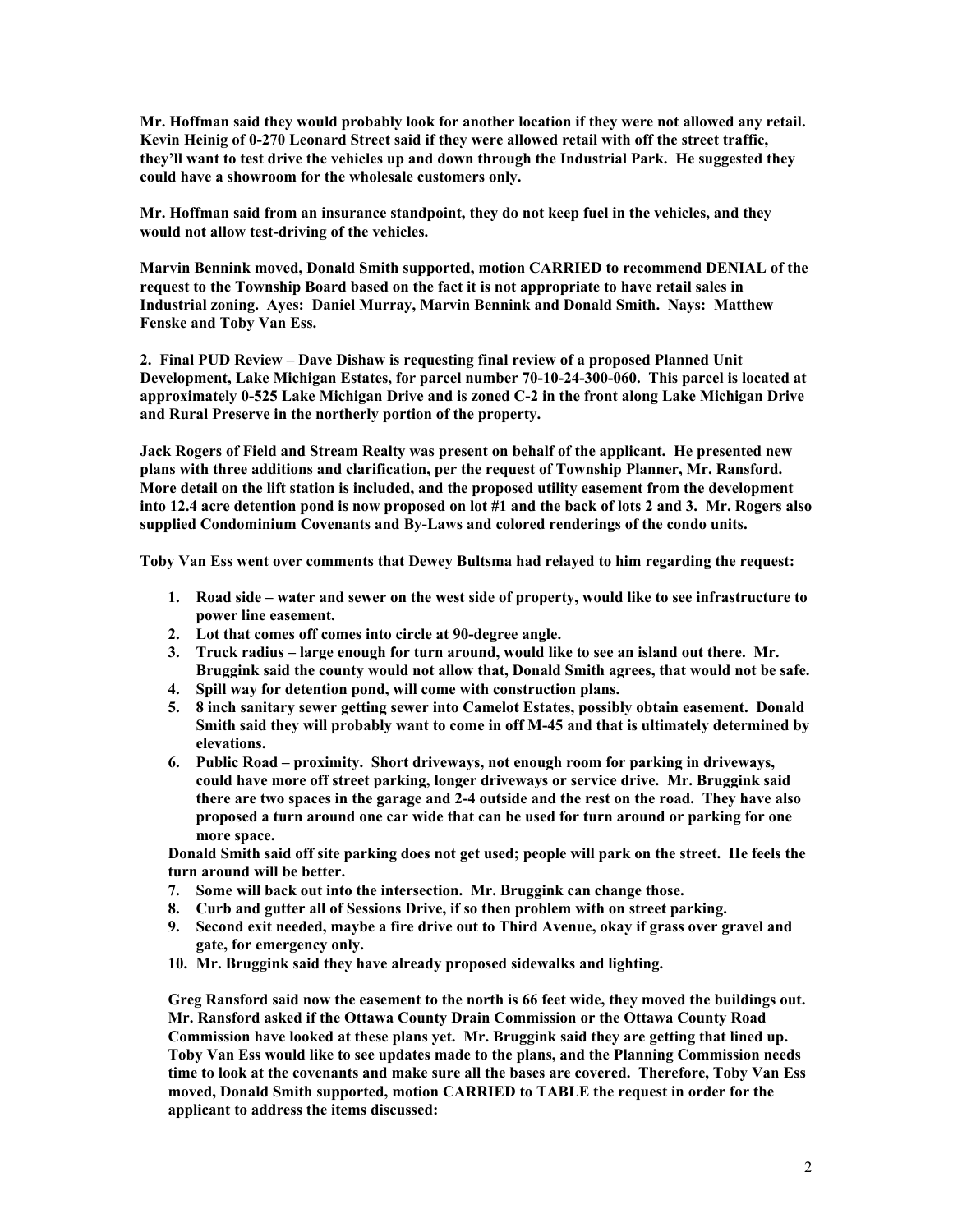**Mr. Hoffman said they would probably look for another location if they were not allowed any retail. Kevin Heinig of 0-270 Leonard Street said if they were allowed retail with off the street traffic, they'll want to test drive the vehicles up and down through the Industrial Park. He suggested they could have a showroom for the wholesale customers only.** 

**Mr. Hoffman said from an insurance standpoint, they do not keep fuel in the vehicles, and they would not allow test-driving of the vehicles.** 

**Marvin Bennink moved, Donald Smith supported, motion CARRIED to recommend DENIAL of the request to the Township Board based on the fact it is not appropriate to have retail sales in Industrial zoning. Ayes: Daniel Murray, Marvin Bennink and Donald Smith. Nays: Matthew Fenske and Toby Van Ess.** 

**2. Final PUD Review – Dave Dishaw is requesting final review of a proposed Planned Unit Development, Lake Michigan Estates, for parcel number 70-10-24-300-060. This parcel is located at approximately 0-525 Lake Michigan Drive and is zoned C-2 in the front along Lake Michigan Drive and Rural Preserve in the northerly portion of the property.** 

**Jack Rogers of Field and Stream Realty was present on behalf of the applicant. He presented new plans with three additions and clarification, per the request of Township Planner, Mr. Ransford. More detail on the lift station is included, and the proposed utility easement from the development into 12.4 acre detention pond is now proposed on lot #1 and the back of lots 2 and 3. Mr. Rogers also supplied Condominium Covenants and By-Laws and colored renderings of the condo units.** 

**Toby Van Ess went over comments that Dewey Bultsma had relayed to him regarding the request:** 

- **1. Road side water and sewer on the west side of property, would like to see infrastructure to power line easement.**
- **2. Lot that comes off comes into circle at 90-degree angle.**
- **3. Truck radius large enough for turn around, would like to see an island out there. Mr. Bruggink said the county would not allow that, Donald Smith agrees, that would not be safe.**
- **4. Spill way for detention pond, will come with construction plans.**
- **5. 8 inch sanitary sewer getting sewer into Camelot Estates, possibly obtain easement. Donald Smith said they will probably want to come in off M-45 and that is ultimately determined by elevations.**
- **6. Public Road proximity. Short driveways, not enough room for parking in driveways, could have more off street parking, longer driveways or service drive. Mr. Bruggink said there are two spaces in the garage and 2-4 outside and the rest on the road. They have also proposed a turn around one car wide that can be used for turn around or parking for one more space.**

**Donald Smith said off site parking does not get used; people will park on the street. He feels the turn around will be better.** 

- **7. Some will back out into the intersection. Mr. Bruggink can change those.**
- **8. Curb and gutter all of Sessions Drive, if so then problem with on street parking.**
- **9. Second exit needed, maybe a fire drive out to Third Avenue, okay if grass over gravel and gate, for emergency only.**
- **10. Mr. Bruggink said they have already proposed sidewalks and lighting.**

**Greg Ransford said now the easement to the north is 66 feet wide, they moved the buildings out. Mr. Ransford asked if the Ottawa County Drain Commission or the Ottawa County Road Commission have looked at these plans yet. Mr. Bruggink said they are getting that lined up. Toby Van Ess would like to see updates made to the plans, and the Planning Commission needs time to look at the covenants and make sure all the bases are covered. Therefore, Toby Van Ess moved, Donald Smith supported, motion CARRIED to TABLE the request in order for the applicant to address the items discussed:**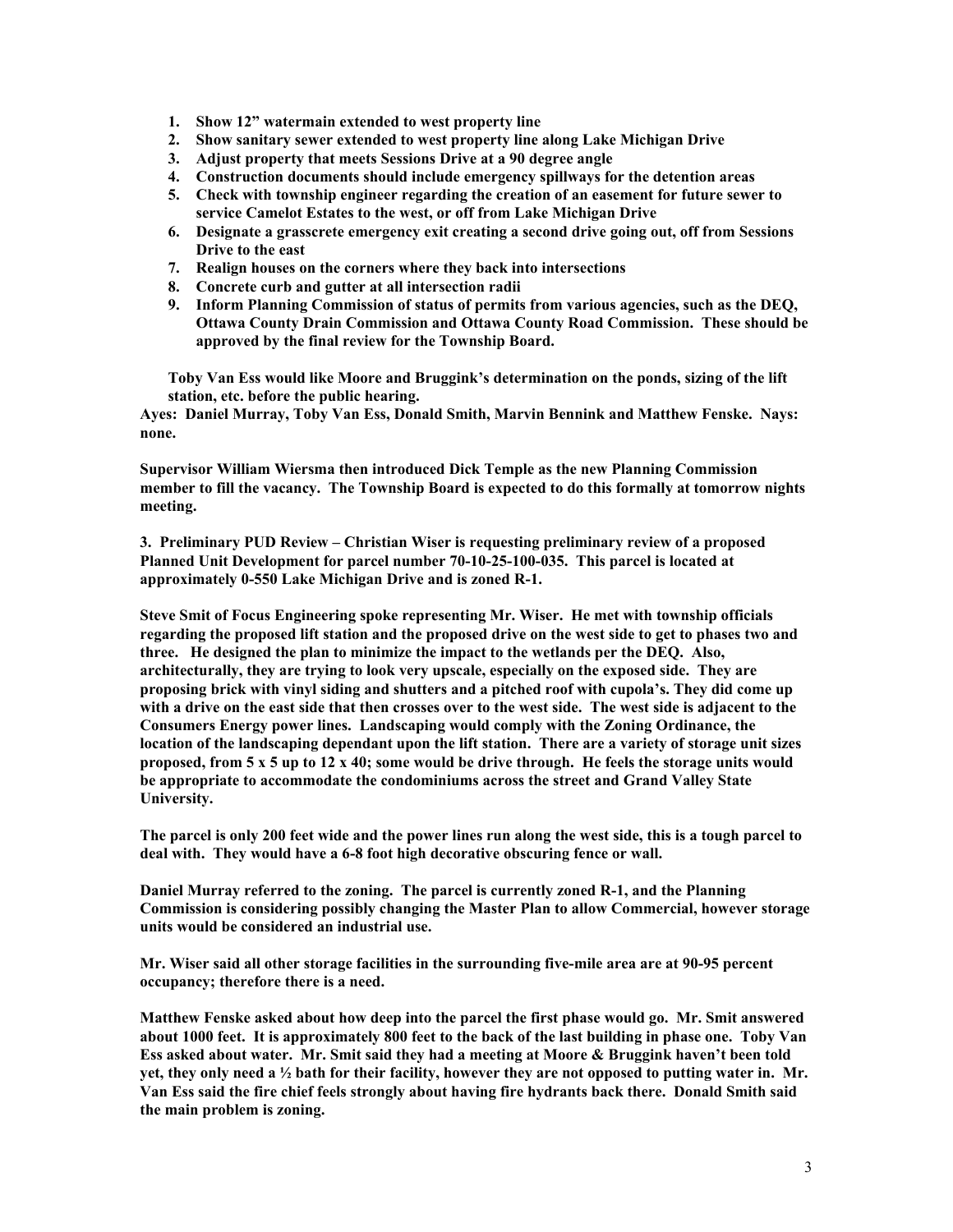- **1. Show 12" watermain extended to west property line**
- **2. Show sanitary sewer extended to west property line along Lake Michigan Drive**
- **3. Adjust property that meets Sessions Drive at a 90 degree angle**
- **4. Construction documents should include emergency spillways for the detention areas**
- **5. Check with township engineer regarding the creation of an easement for future sewer to service Camelot Estates to the west, or off from Lake Michigan Drive**
- **6. Designate a grasscrete emergency exit creating a second drive going out, off from Sessions Drive to the east**
- **7. Realign houses on the corners where they back into intersections**
- **8. Concrete curb and gutter at all intersection radii**
- **9. Inform Planning Commission of status of permits from various agencies, such as the DEQ, Ottawa County Drain Commission and Ottawa County Road Commission. These should be approved by the final review for the Township Board.**

**Toby Van Ess would like Moore and Bruggink's determination on the ponds, sizing of the lift station, etc. before the public hearing.** 

**Ayes: Daniel Murray, Toby Van Ess, Donald Smith, Marvin Bennink and Matthew Fenske. Nays: none.** 

**Supervisor William Wiersma then introduced Dick Temple as the new Planning Commission member to fill the vacancy. The Township Board is expected to do this formally at tomorrow nights meeting.** 

**3. Preliminary PUD Review – Christian Wiser is requesting preliminary review of a proposed Planned Unit Development for parcel number 70-10-25-100-035. This parcel is located at approximately 0-550 Lake Michigan Drive and is zoned R-1.** 

**Steve Smit of Focus Engineering spoke representing Mr. Wiser. He met with township officials regarding the proposed lift station and the proposed drive on the west side to get to phases two and three. He designed the plan to minimize the impact to the wetlands per the DEQ. Also, architecturally, they are trying to look very upscale, especially on the exposed side. They are proposing brick with vinyl siding and shutters and a pitched roof with cupola's. They did come up with a drive on the east side that then crosses over to the west side. The west side is adjacent to the Consumers Energy power lines. Landscaping would comply with the Zoning Ordinance, the location of the landscaping dependant upon the lift station. There are a variety of storage unit sizes proposed, from 5 x 5 up to 12 x 40; some would be drive through. He feels the storage units would be appropriate to accommodate the condominiums across the street and Grand Valley State University.** 

**The parcel is only 200 feet wide and the power lines run along the west side, this is a tough parcel to deal with. They would have a 6-8 foot high decorative obscuring fence or wall.** 

**Daniel Murray referred to the zoning. The parcel is currently zoned R-1, and the Planning Commission is considering possibly changing the Master Plan to allow Commercial, however storage units would be considered an industrial use.** 

**Mr. Wiser said all other storage facilities in the surrounding five-mile area are at 90-95 percent occupancy; therefore there is a need.** 

**Matthew Fenske asked about how deep into the parcel the first phase would go. Mr. Smit answered about 1000 feet. It is approximately 800 feet to the back of the last building in phase one. Toby Van Ess asked about water. Mr. Smit said they had a meeting at Moore & Bruggink haven't been told yet, they only need a ½ bath for their facility, however they are not opposed to putting water in. Mr. Van Ess said the fire chief feels strongly about having fire hydrants back there. Donald Smith said the main problem is zoning.**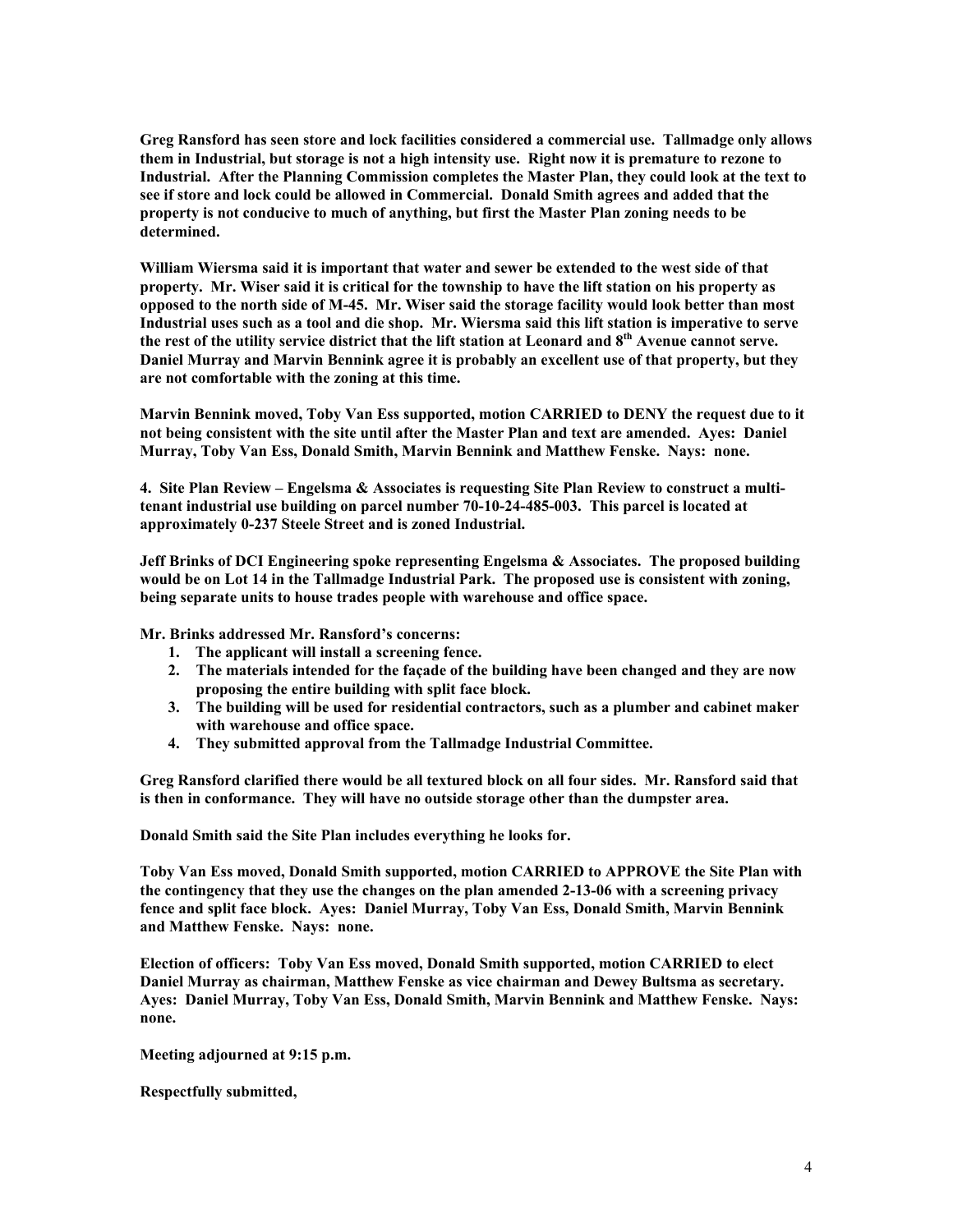**Greg Ransford has seen store and lock facilities considered a commercial use. Tallmadge only allows them in Industrial, but storage is not a high intensity use. Right now it is premature to rezone to Industrial. After the Planning Commission completes the Master Plan, they could look at the text to see if store and lock could be allowed in Commercial. Donald Smith agrees and added that the property is not conducive to much of anything, but first the Master Plan zoning needs to be determined.** 

**William Wiersma said it is important that water and sewer be extended to the west side of that property. Mr. Wiser said it is critical for the township to have the lift station on his property as opposed to the north side of M-45. Mr. Wiser said the storage facility would look better than most Industrial uses such as a tool and die shop. Mr. Wiersma said this lift station is imperative to serve the rest of the utility service district that the lift station at Leonard and 8th Avenue cannot serve. Daniel Murray and Marvin Bennink agree it is probably an excellent use of that property, but they are not comfortable with the zoning at this time.** 

**Marvin Bennink moved, Toby Van Ess supported, motion CARRIED to DENY the request due to it not being consistent with the site until after the Master Plan and text are amended. Ayes: Daniel Murray, Toby Van Ess, Donald Smith, Marvin Bennink and Matthew Fenske. Nays: none.** 

**4. Site Plan Review – Engelsma & Associates is requesting Site Plan Review to construct a multitenant industrial use building on parcel number 70-10-24-485-003. This parcel is located at approximately 0-237 Steele Street and is zoned Industrial.** 

**Jeff Brinks of DCI Engineering spoke representing Engelsma & Associates. The proposed building would be on Lot 14 in the Tallmadge Industrial Park. The proposed use is consistent with zoning, being separate units to house trades people with warehouse and office space.** 

**Mr. Brinks addressed Mr. Ransford's concerns:** 

- **1. The applicant will install a screening fence.**
- **2. The materials intended for the façade of the building have been changed and they are now proposing the entire building with split face block.**
- **3. The building will be used for residential contractors, such as a plumber and cabinet maker with warehouse and office space.**
- **4. They submitted approval from the Tallmadge Industrial Committee.**

**Greg Ransford clarified there would be all textured block on all four sides. Mr. Ransford said that is then in conformance. They will have no outside storage other than the dumpster area.** 

**Donald Smith said the Site Plan includes everything he looks for.** 

**Toby Van Ess moved, Donald Smith supported, motion CARRIED to APPROVE the Site Plan with the contingency that they use the changes on the plan amended 2-13-06 with a screening privacy fence and split face block. Ayes: Daniel Murray, Toby Van Ess, Donald Smith, Marvin Bennink and Matthew Fenske. Nays: none.** 

**Election of officers: Toby Van Ess moved, Donald Smith supported, motion CARRIED to elect Daniel Murray as chairman, Matthew Fenske as vice chairman and Dewey Bultsma as secretary. Ayes: Daniel Murray, Toby Van Ess, Donald Smith, Marvin Bennink and Matthew Fenske. Nays: none.** 

**Meeting adjourned at 9:15 p.m.** 

**Respectfully submitted,**